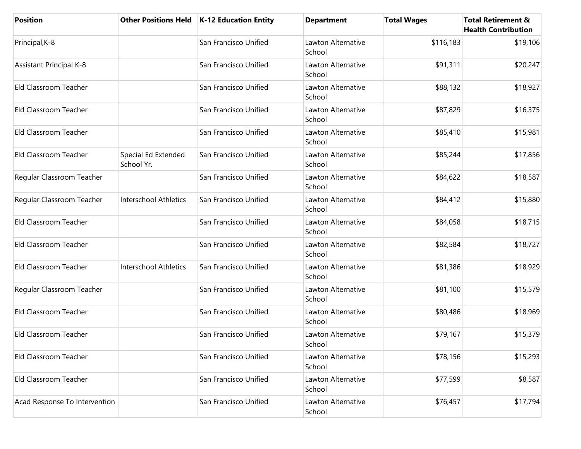| <b>Position</b>                |                                   | Other Positions Held   K-12 Education Entity | <b>Department</b>            | <b>Total Wages</b> | <b>Total Retirement &amp;</b><br><b>Health Contribution</b> |
|--------------------------------|-----------------------------------|----------------------------------------------|------------------------------|--------------------|-------------------------------------------------------------|
| Principal, K-8                 |                                   | San Francisco Unified                        | Lawton Alternative<br>School | \$116,183          | \$19,106                                                    |
| <b>Assistant Principal K-8</b> |                                   | San Francisco Unified                        | Lawton Alternative<br>School | \$91,311           | \$20,247                                                    |
| Eld Classroom Teacher          |                                   | San Francisco Unified                        | Lawton Alternative<br>School | \$88,132           | \$18,927                                                    |
| Eld Classroom Teacher          |                                   | San Francisco Unified                        | Lawton Alternative<br>School | \$87,829           | \$16,375                                                    |
| Eld Classroom Teacher          |                                   | San Francisco Unified                        | Lawton Alternative<br>School | \$85,410           | \$15,981                                                    |
| Eld Classroom Teacher          | Special Ed Extended<br>School Yr. | San Francisco Unified                        | Lawton Alternative<br>School | \$85,244           | \$17,856                                                    |
| Regular Classroom Teacher      |                                   | San Francisco Unified                        | Lawton Alternative<br>School | \$84,622           | \$18,587                                                    |
| Regular Classroom Teacher      | Interschool Athletics             | San Francisco Unified                        | Lawton Alternative<br>School | \$84,412           | \$15,880                                                    |
| Eld Classroom Teacher          |                                   | San Francisco Unified                        | Lawton Alternative<br>School | \$84,058           | \$18,715                                                    |
| Eld Classroom Teacher          |                                   | San Francisco Unified                        | Lawton Alternative<br>School | \$82,584           | \$18,727                                                    |
| Eld Classroom Teacher          | <b>Interschool Athletics</b>      | San Francisco Unified                        | Lawton Alternative<br>School | \$81,386           | \$18,929                                                    |
| Regular Classroom Teacher      |                                   | San Francisco Unified                        | Lawton Alternative<br>School | \$81,100           | \$15,579                                                    |
| Eld Classroom Teacher          |                                   | San Francisco Unified                        | Lawton Alternative<br>School | \$80,486           | \$18,969                                                    |
| Eld Classroom Teacher          |                                   | San Francisco Unified                        | Lawton Alternative<br>School | \$79,167           | \$15,379                                                    |
| Eld Classroom Teacher          |                                   | San Francisco Unified                        | Lawton Alternative<br>School | \$78,156           | \$15,293                                                    |
| Eld Classroom Teacher          |                                   | San Francisco Unified                        | Lawton Alternative<br>School | \$77,599           | \$8,587                                                     |
| Acad Response To Intervention  |                                   | San Francisco Unified                        | Lawton Alternative<br>School | \$76,457           | \$17,794                                                    |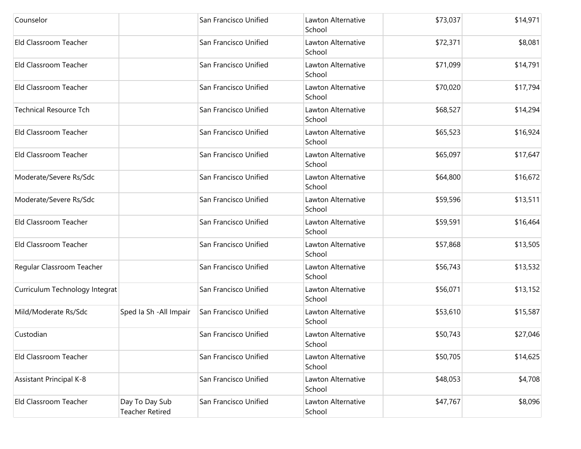| Counselor                      |                                          | San Francisco Unified | Lawton Alternative<br>School | \$73,037 | \$14,971 |
|--------------------------------|------------------------------------------|-----------------------|------------------------------|----------|----------|
| Eld Classroom Teacher          |                                          | San Francisco Unified | Lawton Alternative<br>School | \$72,371 | \$8,081  |
| Eld Classroom Teacher          |                                          | San Francisco Unified | Lawton Alternative<br>School | \$71,099 | \$14,791 |
| Eld Classroom Teacher          |                                          | San Francisco Unified | Lawton Alternative<br>School | \$70,020 | \$17,794 |
| <b>Technical Resource Tch</b>  |                                          | San Francisco Unified | Lawton Alternative<br>School | \$68,527 | \$14,294 |
| Eld Classroom Teacher          |                                          | San Francisco Unified | Lawton Alternative<br>School | \$65,523 | \$16,924 |
| Eld Classroom Teacher          |                                          | San Francisco Unified | Lawton Alternative<br>School | \$65,097 | \$17,647 |
| Moderate/Severe Rs/Sdc         |                                          | San Francisco Unified | Lawton Alternative<br>School | \$64,800 | \$16,672 |
| Moderate/Severe Rs/Sdc         |                                          | San Francisco Unified | Lawton Alternative<br>School | \$59,596 | \$13,511 |
| Eld Classroom Teacher          |                                          | San Francisco Unified | Lawton Alternative<br>School | \$59,591 | \$16,464 |
| Eld Classroom Teacher          |                                          | San Francisco Unified | Lawton Alternative<br>School | \$57,868 | \$13,505 |
| Regular Classroom Teacher      |                                          | San Francisco Unified | Lawton Alternative<br>School | \$56,743 | \$13,532 |
| Curriculum Technology Integrat |                                          | San Francisco Unified | Lawton Alternative<br>School | \$56,071 | \$13,152 |
| Mild/Moderate Rs/Sdc           | Sped Ia Sh - All Impair                  | San Francisco Unified | Lawton Alternative<br>School | \$53,610 | \$15,587 |
| Custodian                      |                                          | San Francisco Unified | Lawton Alternative<br>School | \$50,743 | \$27,046 |
| Eld Classroom Teacher          |                                          | San Francisco Unified | Lawton Alternative<br>School | \$50,705 | \$14,625 |
| <b>Assistant Principal K-8</b> |                                          | San Francisco Unified | Lawton Alternative<br>School | \$48,053 | \$4,708  |
| Eld Classroom Teacher          | Day To Day Sub<br><b>Teacher Retired</b> | San Francisco Unified | Lawton Alternative<br>School | \$47,767 | \$8,096  |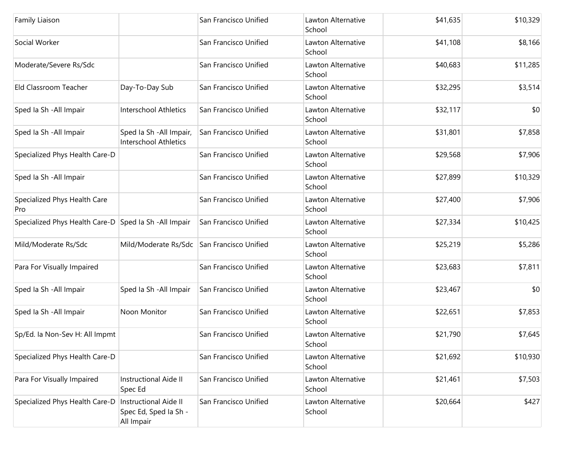| Family Liaison                                        |                                                                     | San Francisco Unified | Lawton Alternative<br>School | \$41,635 | \$10,329 |
|-------------------------------------------------------|---------------------------------------------------------------------|-----------------------|------------------------------|----------|----------|
| Social Worker                                         |                                                                     | San Francisco Unified | Lawton Alternative<br>School | \$41,108 | \$8,166  |
| Moderate/Severe Rs/Sdc                                |                                                                     | San Francisco Unified | Lawton Alternative<br>School | \$40,683 | \$11,285 |
| Eld Classroom Teacher                                 | Day-To-Day Sub                                                      | San Francisco Unified | Lawton Alternative<br>School | \$32,295 | \$3,514  |
| Sped Ia Sh - All Impair                               | Interschool Athletics                                               | San Francisco Unified | Lawton Alternative<br>School | \$32,117 | \$0      |
| Sped Ia Sh - All Impair                               | Sped Ia Sh - All Impair,<br><b>Interschool Athletics</b>            | San Francisco Unified | Lawton Alternative<br>School | \$31,801 | \$7,858  |
| Specialized Phys Health Care-D                        |                                                                     | San Francisco Unified | Lawton Alternative<br>School | \$29,568 | \$7,906  |
| Sped Ia Sh - All Impair                               |                                                                     | San Francisco Unified | Lawton Alternative<br>School | \$27,899 | \$10,329 |
| Specialized Phys Health Care<br>Pro                   |                                                                     | San Francisco Unified | Lawton Alternative<br>School | \$27,400 | \$7,906  |
| Specialized Phys Health Care-D Sped Ia Sh -All Impair |                                                                     | San Francisco Unified | Lawton Alternative<br>School | \$27,334 | \$10,425 |
| Mild/Moderate Rs/Sdc                                  | Mild/Moderate Rs/Sdc                                                | San Francisco Unified | Lawton Alternative<br>School | \$25,219 | \$5,286  |
| Para For Visually Impaired                            |                                                                     | San Francisco Unified | Lawton Alternative<br>School | \$23,683 | \$7,811  |
| Sped Ia Sh - All Impair                               | Sped Ia Sh - All Impair                                             | San Francisco Unified | Lawton Alternative<br>School | \$23,467 | \$0      |
| Sped Ia Sh - All Impair                               | Noon Monitor                                                        | San Francisco Unified | Lawton Alternative<br>School | \$22,651 | \$7,853  |
| Sp/Ed. la Non-Sev H: All Impmt                        |                                                                     | San Francisco Unified | Lawton Alternative<br>School | \$21,790 | \$7,645  |
| Specialized Phys Health Care-D                        |                                                                     | San Francisco Unified | Lawton Alternative<br>School | \$21,692 | \$10,930 |
| Para For Visually Impaired                            | <b>Instructional Aide II</b><br>Spec Ed                             | San Francisco Unified | Lawton Alternative<br>School | \$21,461 | \$7,503  |
| Specialized Phys Health Care-D                        | <b>Instructional Aide II</b><br>Spec Ed, Sped Ia Sh -<br>All Impair | San Francisco Unified | Lawton Alternative<br>School | \$20,664 | \$427    |